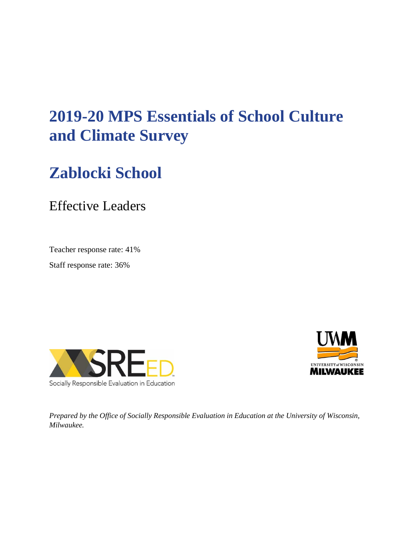# **2019-20 MPS Essentials of School Culture and Climate Survey**

# **Zablocki School**

Effective Leaders

Teacher response rate: 41%

Staff response rate: 36%





*Prepared by the Office of Socially Responsible Evaluation in Education at the University of Wisconsin, Milwaukee.*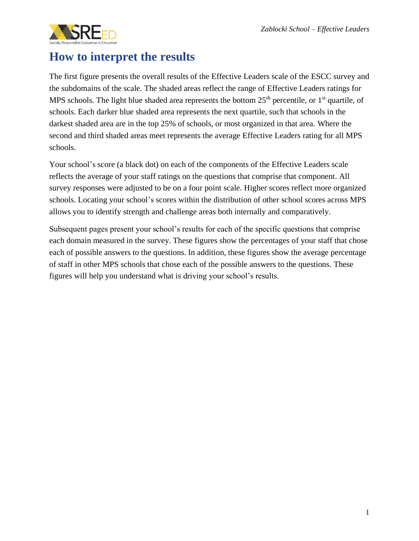

### **How to interpret the results**

The first figure presents the overall results of the Effective Leaders scale of the ESCC survey and the subdomains of the scale. The shaded areas reflect the range of Effective Leaders ratings for MPS schools. The light blue shaded area represents the bottom  $25<sup>th</sup>$  percentile, or  $1<sup>st</sup>$  quartile, of schools. Each darker blue shaded area represents the next quartile, such that schools in the darkest shaded area are in the top 25% of schools, or most organized in that area. Where the second and third shaded areas meet represents the average Effective Leaders rating for all MPS schools.

Your school's score (a black dot) on each of the components of the Effective Leaders scale reflects the average of your staff ratings on the questions that comprise that component. All survey responses were adjusted to be on a four point scale. Higher scores reflect more organized schools. Locating your school's scores within the distribution of other school scores across MPS allows you to identify strength and challenge areas both internally and comparatively.

Subsequent pages present your school's results for each of the specific questions that comprise each domain measured in the survey. These figures show the percentages of your staff that chose each of possible answers to the questions. In addition, these figures show the average percentage of staff in other MPS schools that chose each of the possible answers to the questions. These figures will help you understand what is driving your school's results.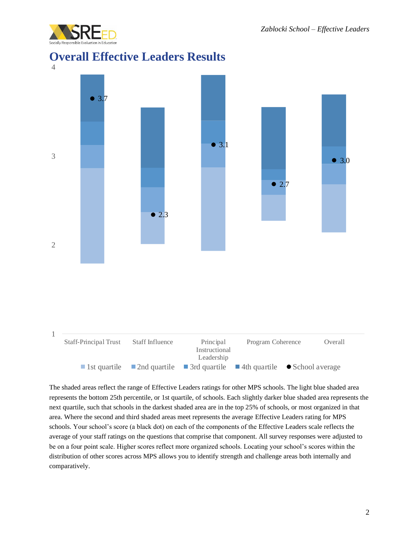

#### **Overall Effective Leaders Results**



The shaded areas reflect the range of Effective Leaders ratings for other MPS schools. The light blue shaded area represents the bottom 25th percentile, or 1st quartile, of schools. Each slightly darker blue shaded area represents the next quartile, such that schools in the darkest shaded area are in the top 25% of schools, or most organized in that area. Where the second and third shaded areas meet represents the average Effective Leaders rating for MPS schools. Your school's score (a black dot) on each of the components of the Effective Leaders scale reflects the average of your staff ratings on the questions that comprise that component. All survey responses were adjusted to be on a four point scale. Higher scores reflect more organized schools. Locating your school's scores within the distribution of other scores across MPS allows you to identify strength and challenge areas both internally and comparatively.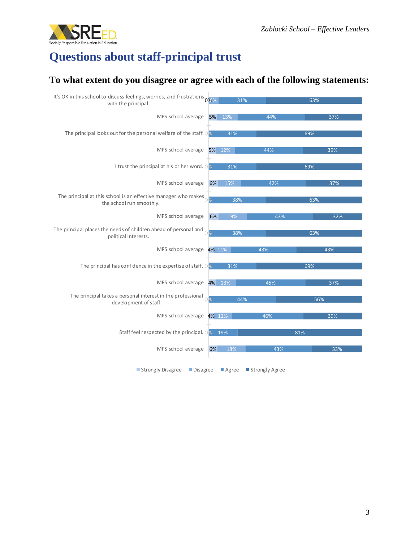

## **Questions about staff-principal trust**

#### **To what extent do you disagree or agree with each of the following statements:**

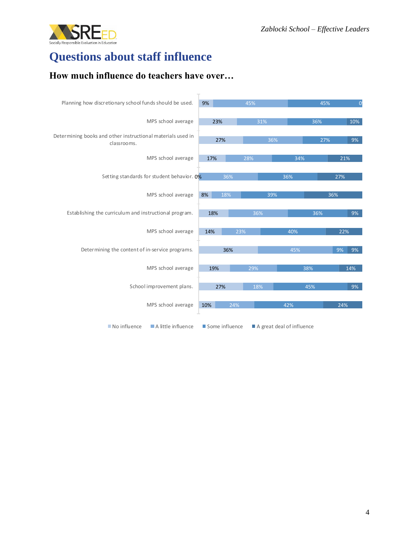

### **Questions about staff influence**

#### **How much influence do teachers have over…**

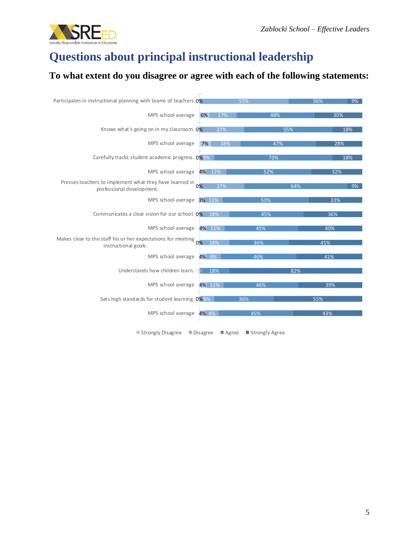

### **Questions about principal instructional leadership**

#### **To what extent do you disagree or agree with each of the following statements:**